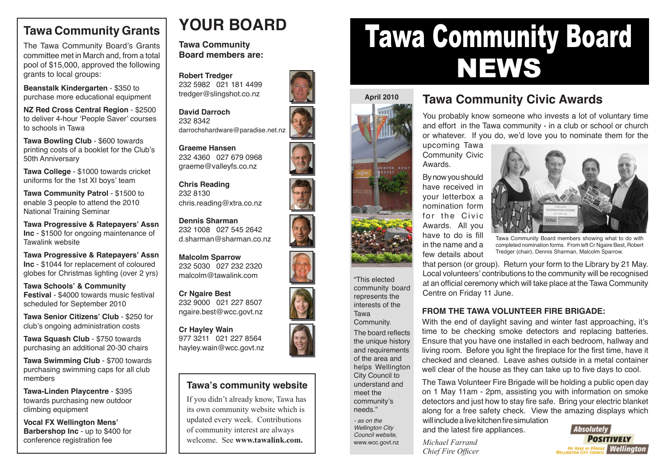#### **Tawa Community Grants**

The Tawa Community Board's Grants committee met in March and, from a total pool of \$15,000, approved the following grants to local groups:

**Beanstalk Kindergarten** - \$350 to purchase more educational equipment

**NZ Red Cross Central Region** - \$2500 to deliver 4-hour 'People Saver' courses to schools in Tawa

**Tawa Bowling Club** - \$600 towards printing costs of a booklet for the Club's 50th Anniversary

**Tawa College** - \$1000 towards cricket uniforms for the 1st XI boys' team

**Tawa Community Patrol - \$1500 to** enable 3 people to attend the 2010 National Training Seminar

**Tawa Progressive & Ratepayers' Assn Inc** - \$1500 for ongoing maintenance of Tawalink website

**Tawa Progressive & Ratepayers' Assn Inc** - \$1044 for replacement of coloured globes for Christmas lighting (over 2 yrs)

**Tawa Schools' & Community Festival** - \$4000 towards music festival scheduled for September 2010

**Tawa Senior Citizens' Club** - \$250 for club's ongoing administration costs

**Tawa Squash Club** - \$750 towards purchasing an additional 20-30 chairs

**Tawa Swimming Club** - \$700 towards purchasing swimming caps for all club members

**Tawa-Linden Playcentre** - \$395 towards purchasing new outdoor climbing equipment

**Vocal FX Wellington Mens' Barbershop Inc** - up to \$400 for conference registration fee

## **YOUR BOARD**

**Tawa Community Board members are:**

**Robert Tredger** 232 5982 021 181 4499 tredger@slingshot.co.nz

**David Darroch** 232 8342 darrochshardware@paradise.net.nz

**Graeme Hansen** 232 4360 027 679 0968 graeme@valleyfs.co.nz

**Chris Reading** 232 8130 chris.reading@xtra.co.nz

**Dennis Sharman** 232 1008 027 545 2642 d.sharman@sharman.co.nz

**Malcolm Sparrow** 232 5030 027 232 2320 malcolm@tawalink.com

**Cr Ngaire Best** 232 9000 021 227 8507 ngaire.best@wcc.govt.nz

**Cr Hayley Wain** 977 3211 021 227 8564 hayley.wain@wcc.govt.nz



#### **Tawa's community website**

If you didn't already know, Tawa has its own community website which is updated every week. Contributions of community interest are always welcome. See **www.tawalink.com.**

# Tawa Community Board **NEWS**



"This elected community board represents the interests of the Tawa Community. The board reflects the unique history and requirements of the area and helps Wellington City Council to understand and meet the community's needs." - as on the Wellington City Council website,

www.wcc.govt.nz

#### **Tawa Community Civic Awards**

You probably know someone who invests a lot of voluntary time and effort in the Tawa community - in a club or school or church or whatever. If you do, we'd love you to nominate them for the

upcoming Tawa Community Civic Awards.

By now you should have received in your letterbox a nomination form for the Civic Awards. All you have to do is fill in the name and a few details about



Tawa Community Board members showing what to do with completed nomination forms. From left Cr Ngaire Best, Robert Tredger (chair), Dennis Sharman, Malcolm Sparrow.

that person (or group). Return your form to the Library by 21 May. Local volunteers' contributions to the community will be recognised at an official ceremony which will take place at the Tawa Community Centre on Friday 11 June.

#### **FROM THE TAWA VOLUNTEER FIRE BRIGADE:**

With the end of daylight saving and winter fast approaching, it's time to be checking smoke detectors and replacing batteries. Ensure that you have one installed in each bedroom, hallway and living room. Before you light the fireplace for the first time, have it checked and cleaned. Leave ashes outside in a metal container well clear of the house as they can take up to five days to cool.

The Tawa Volunteer Fire Brigade will be holding a public open day on 1 May 11am - 2pm, assisting you with information on smoke detectors and just how to stay fire safe. Bring your electric blanket along for a free safety check. View the amazing displays which will include a live kitchen fire simulation

and the latest fire appliances.

*Michael Farrand Chief Fire Officer*